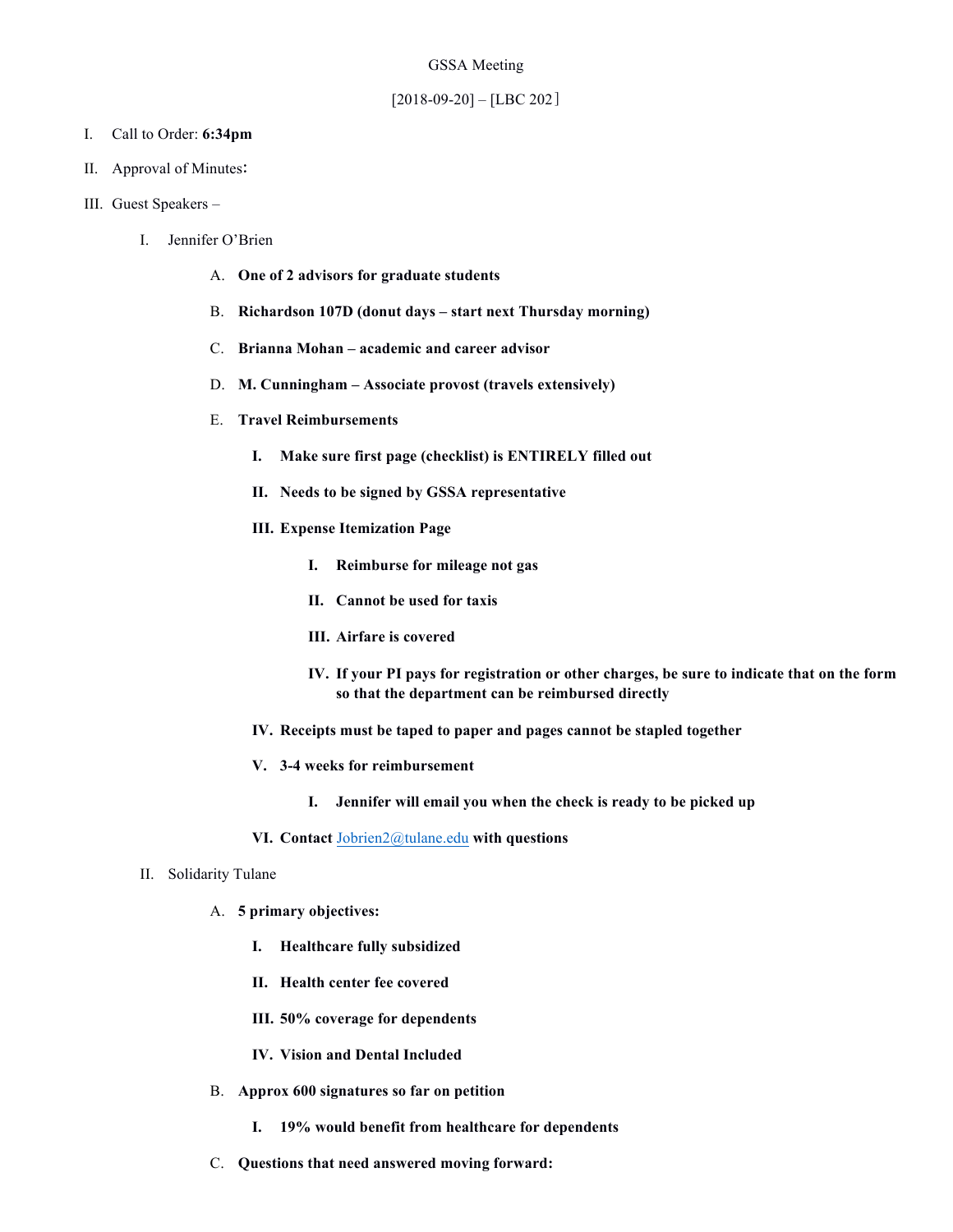- I. Call to Order: **6:34pm**
- II. Approval of Minutes:
- III. Guest Speakers
	- I. Jennifer O'Brien
		- A. **One of 2 advisors for graduate students**
		- B. **Richardson 107D (donut days – start next Thursday morning)**
		- C. **Brianna Mohan – academic and career advisor**
		- D. **M. Cunningham – Associate provost (travels extensively)**
		- E. **Travel Reimbursements** 
			- **I. Make sure first page (checklist) is ENTIRELY filled out**
			- **II. Needs to be signed by GSSA representative**
			- **III. Expense Itemization Page** 
				- **I. Reimburse for mileage not gas**
				- **II. Cannot be used for taxis**
				- **III. Airfare is covered**
				- **IV. If your PI pays for registration or other charges, be sure to indicate that on the form so that the department can be reimbursed directly**
			- **IV. Receipts must be taped to paper and pages cannot be stapled together**
			- **V. 3-4 weeks for reimbursement** 
				- **I. Jennifer will email you when the check is ready to be picked up**
			- **VI. Contact** Jobrien2@tulane.edu **with questions**
	- II. Solidarity Tulane
		- A. **5 primary objectives:**
			- **I. Healthcare fully subsidized**
			- **II. Health center fee covered**
			- **III. 50% coverage for dependents**
			- **IV. Vision and Dental Included**
		- B. **Approx 600 signatures so far on petition** 
			- **I. 19% would benefit from healthcare for dependents**
		- C. **Questions that need answered moving forward:**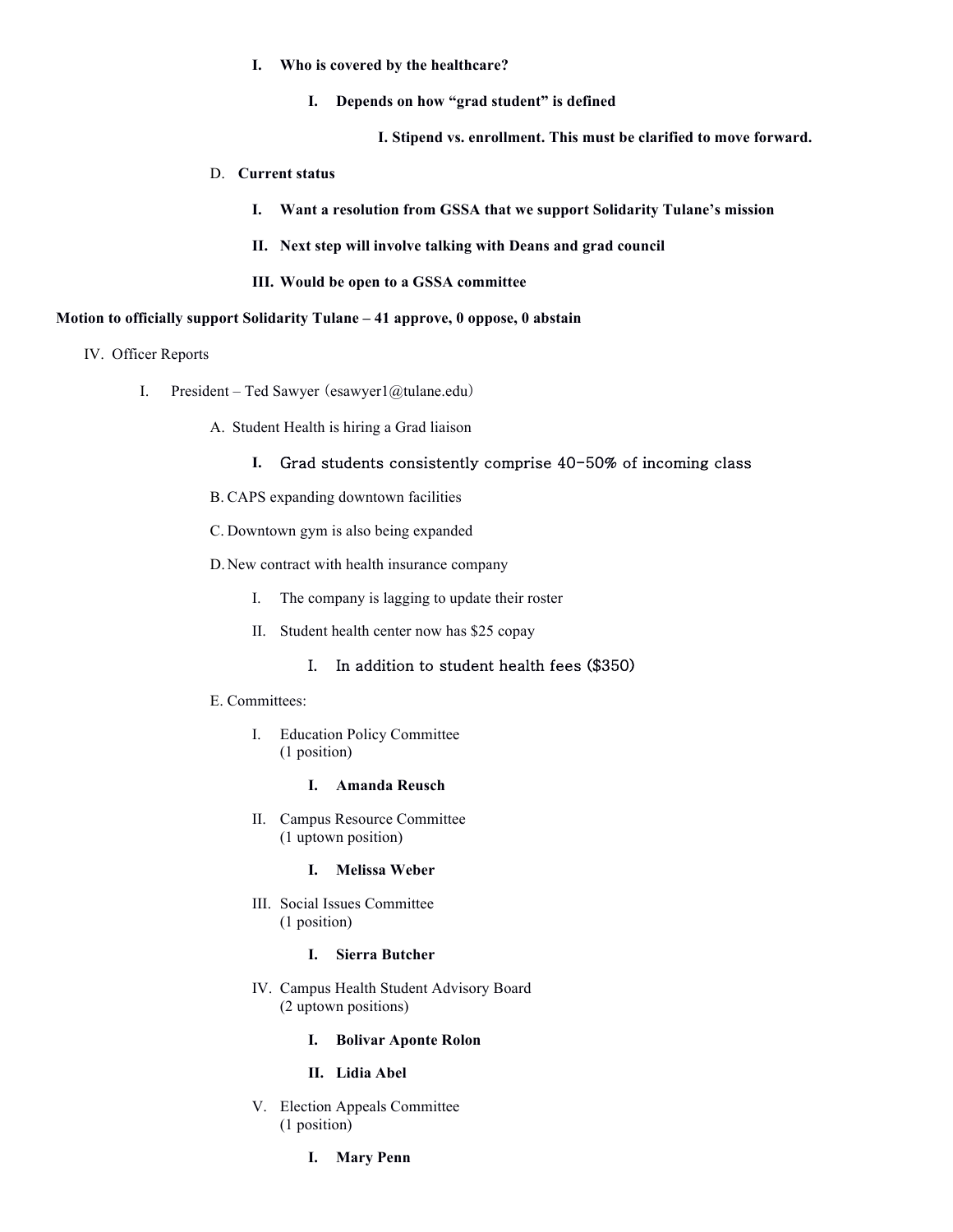- **I. Who is covered by the healthcare?**
	- **I. Depends on how "grad student" is defined**

**I. Stipend vs. enrollment. This must be clarified to move forward.** 

#### D. **Current status**

- **I. Want a resolution from GSSA that we support Solidarity Tulane's mission**
- **II. Next step will involve talking with Deans and grad council**
- **III. Would be open to a GSSA committee**

#### **Motion to officially support Solidarity Tulane – 41 approve, 0 oppose, 0 abstain**

- IV. Officer Reports
	- I. President Ted Sawyer (esawyer $1$ @tulane.edu)
		- A. Student Health is hiring a Grad liaison

#### **I.** Grad students consistently comprise 40-50% of incoming class

- B. CAPS expanding downtown facilities
- C. Downtown gym is also being expanded
- D.New contract with health insurance company
	- I. The company is lagging to update their roster
	- II. Student health center now has \$25 copay

### I. In addition to student health fees (\$350)

#### E. Committees:

I. Education Policy Committee (1 position)

#### **I. Amanda Reusch**

II. Campus Resource Committee (1 uptown position)

#### **I. Melissa Weber**

III. Social Issues Committee (1 position)

# **I. Sierra Butcher**

- IV. Campus Health Student Advisory Board (2 uptown positions)
	- **I. Bolivar Aponte Rolon**

# **II. Lidia Abel**

- V. Election Appeals Committee (1 position)
	- **I. Mary Penn**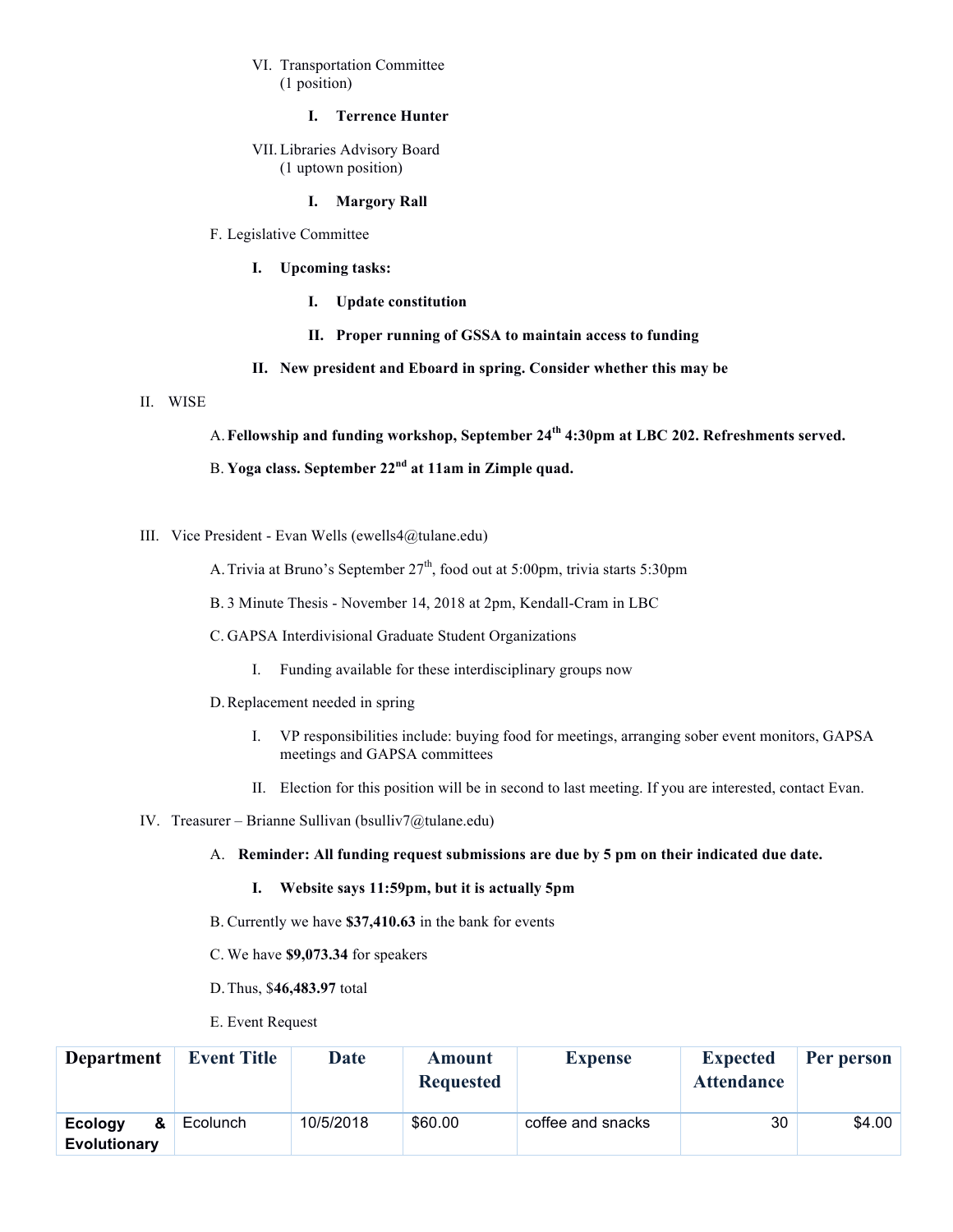# VI. Transportation Committee (1 position)

## **I. Terrence Hunter**

VII. Libraries Advisory Board (1 uptown position)

### **I. Margory Rall**

#### F. Legislative Committee

- **I. Upcoming tasks:** 
	- **I. Update constitution**
	- **II. Proper running of GSSA to maintain access to funding**
- **II. New president and Eboard in spring. Consider whether this may be**

### II. WISE

A.**Fellowship and funding workshop, September 24th 4:30pm at LBC 202. Refreshments served.** 

# B. **Yoga class. September 22nd at 11am in Zimple quad.**

III. Vice President - Evan Wells (ewells4@tulane.edu)

A. Trivia at Bruno's September  $27<sup>th</sup>$ , food out at 5:00pm, trivia starts 5:30pm

- B. 3 Minute Thesis November 14, 2018 at 2pm, Kendall-Cram in LBC
- C. GAPSA Interdivisional Graduate Student Organizations
	- I. Funding available for these interdisciplinary groups now
- D.Replacement needed in spring
	- I. VP responsibilities include: buying food for meetings, arranging sober event monitors, GAPSA meetings and GAPSA committees
	- II. Election for this position will be in second to last meeting. If you are interested, contact Evan.
- IV. Treasurer Brianne Sullivan (bsulliv7@tulane.edu)

### A. **Reminder: All funding request submissions are due by 5 pm on their indicated due date.**

- **I. Website says 11:59pm, but it is actually 5pm**
- B. Currently we have **\$37,410.63** in the bank for events
- C. We have **\$9,073.34** for speakers
- D.Thus, \$**46,483.97** total
- E. Event Request

| <b>Department</b>                   | <b>Event Title</b> | <b>Date</b> | <b>Amount</b><br><b>Requested</b> | <b>Expense</b>    | <b>Expected</b><br><b>Attendance</b> | Per person |
|-------------------------------------|--------------------|-------------|-----------------------------------|-------------------|--------------------------------------|------------|
| Ecology<br>&<br><b>Evolutionary</b> | Ecolunch           | 10/5/2018   | \$60.00                           | coffee and snacks | 30                                   | \$4.00     |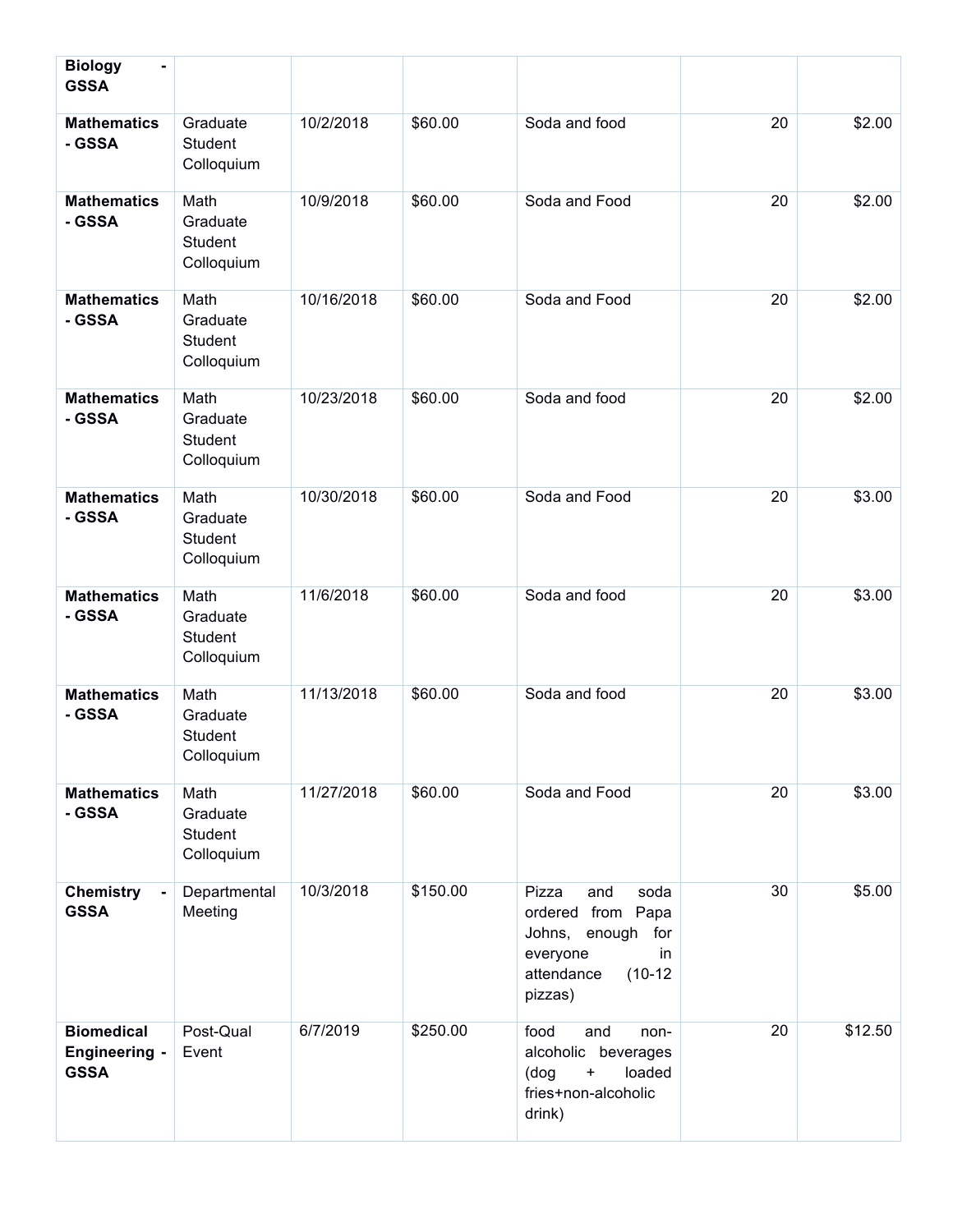| <b>Biology</b><br>۰<br><b>GSSA</b>                       |                                           |            |          |                                                                                                                            |    |         |
|----------------------------------------------------------|-------------------------------------------|------------|----------|----------------------------------------------------------------------------------------------------------------------------|----|---------|
| <b>Mathematics</b><br>- GSSA                             | Graduate<br>Student<br>Colloquium         | 10/2/2018  | \$60.00  | Soda and food                                                                                                              | 20 | \$2.00  |
| <b>Mathematics</b><br>- GSSA                             | Math<br>Graduate<br>Student<br>Colloquium | 10/9/2018  | \$60.00  | Soda and Food                                                                                                              | 20 | \$2.00  |
| <b>Mathematics</b><br>- GSSA                             | Math<br>Graduate<br>Student<br>Colloquium | 10/16/2018 | \$60.00  | Soda and Food                                                                                                              | 20 | \$2.00  |
| <b>Mathematics</b><br>- GSSA                             | Math<br>Graduate<br>Student<br>Colloquium | 10/23/2018 | \$60.00  | Soda and food                                                                                                              | 20 | \$2.00  |
| <b>Mathematics</b><br>- GSSA                             | Math<br>Graduate<br>Student<br>Colloquium | 10/30/2018 | \$60.00  | Soda and Food                                                                                                              | 20 | \$3.00  |
| <b>Mathematics</b><br>- GSSA                             | Math<br>Graduate<br>Student<br>Colloquium | 11/6/2018  | \$60.00  | Soda and food                                                                                                              | 20 | \$3.00  |
| <b>Mathematics</b><br>- GSSA                             | Math<br>Graduate<br>Student<br>Colloquium | 11/13/2018 | \$60.00  | Soda and food                                                                                                              | 20 | \$3.00  |
| <b>Mathematics</b><br>- GSSA                             | Math<br>Graduate<br>Student<br>Colloquium | 11/27/2018 | \$60.00  | Soda and Food                                                                                                              | 20 | \$3.00  |
| <b>Chemistry</b><br><b>GSSA</b>                          | Departmental<br>Meeting                   | 10/3/2018  | \$150.00 | Pizza<br>and<br>soda<br>ordered from Papa<br>Johns, enough<br>for<br>everyone<br>in.<br>$(10-12)$<br>attendance<br>pizzas) | 30 | \$5.00  |
| <b>Biomedical</b><br><b>Engineering -</b><br><b>GSSA</b> | Post-Qual<br>Event                        | 6/7/2019   | \$250.00 | food<br>and<br>non-<br>alcoholic beverages<br>$\ddot{}$<br>loaded<br>(dog<br>fries+non-alcoholic<br>drink)                 | 20 | \$12.50 |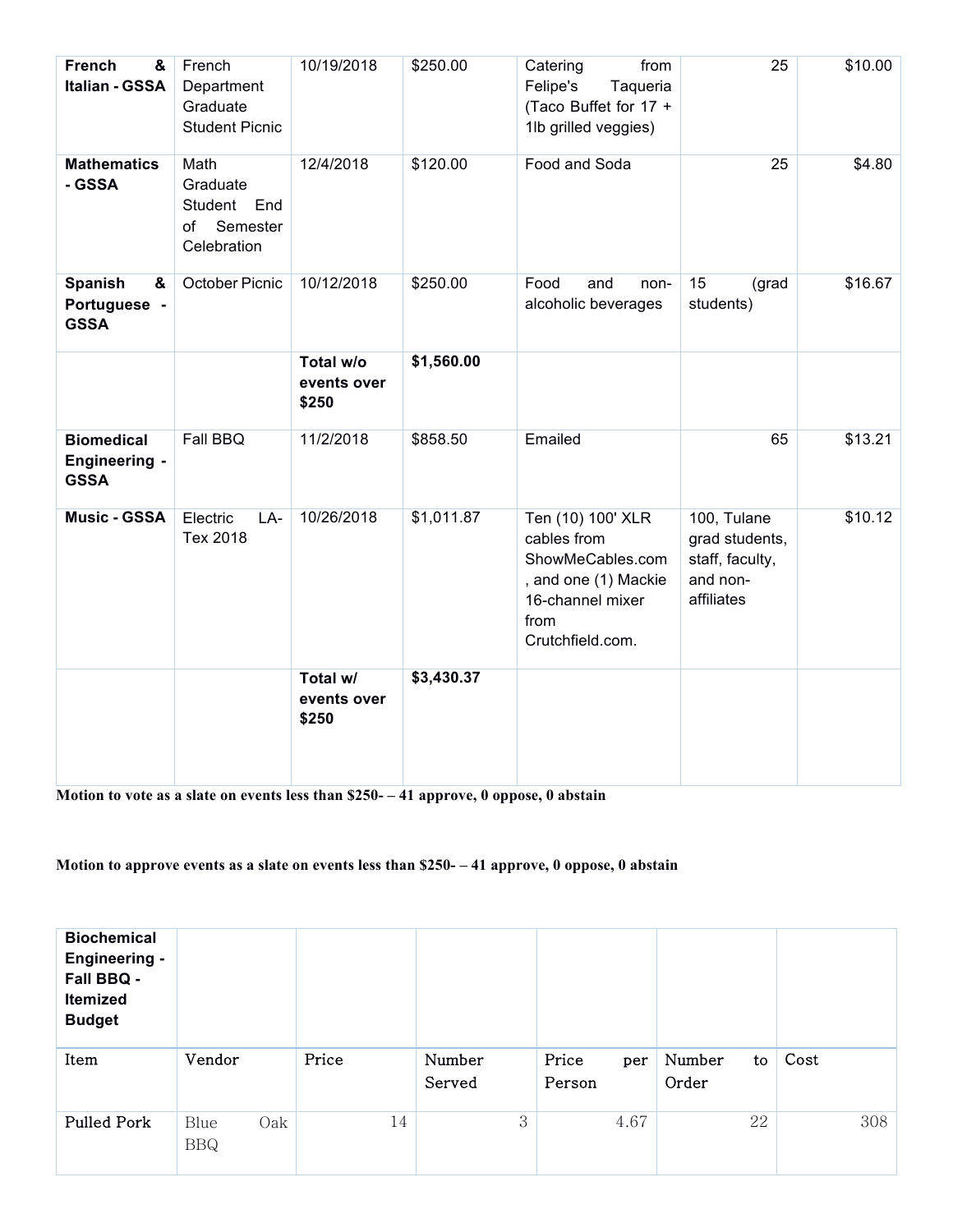| <b>French</b><br>&<br>Italian - GSSA                     | French<br>Department<br>Graduate<br><b>Student Picnic</b>     | 10/19/2018                        | \$250.00   | from<br>Catering<br>Felipe's<br>Taqueria<br>(Taco Buffet for 17 +<br>1lb grilled veggies)                                    | 25                                                                         | \$10.00 |
|----------------------------------------------------------|---------------------------------------------------------------|-----------------------------------|------------|------------------------------------------------------------------------------------------------------------------------------|----------------------------------------------------------------------------|---------|
| <b>Mathematics</b><br>- GSSA                             | Math<br>Graduate<br>Student End<br>of Semester<br>Celebration | 12/4/2018                         | \$120.00   | Food and Soda                                                                                                                | 25                                                                         | \$4.80  |
| Spanish<br>&<br>Portuguese -<br><b>GSSA</b>              | October Picnic                                                | 10/12/2018                        | \$250.00   | Food<br>and<br>non-<br>alcoholic beverages                                                                                   | 15<br>(grad<br>students)                                                   | \$16.67 |
|                                                          |                                                               | Total w/o<br>events over<br>\$250 | \$1,560.00 |                                                                                                                              |                                                                            |         |
| <b>Biomedical</b><br><b>Engineering -</b><br><b>GSSA</b> | Fall BBQ                                                      | 11/2/2018                         | \$858.50   | Emailed                                                                                                                      | 65                                                                         | \$13.21 |
| <b>Music - GSSA</b>                                      | Electric<br>LA-<br>Tex 2018                                   | 10/26/2018                        | \$1,011.87 | Ten (10) 100' XLR<br>cables from<br>ShowMeCables.com<br>, and one (1) Mackie<br>16-channel mixer<br>from<br>Crutchfield.com. | 100, Tulane<br>grad students,<br>staff, faculty,<br>and non-<br>affiliates | \$10.12 |
|                                                          |                                                               | Total w/<br>events over<br>\$250  | \$3,430.37 |                                                                                                                              |                                                                            |         |

**Motion to vote as a slate on events less than \$250- – 41 approve, 0 oppose, 0 abstain**

# **Motion to approve events as a slate on events less than \$250- – 41 approve, 0 oppose, 0 abstain**

| <b>Biochemical</b><br><b>Engineering -</b><br>Fall BBQ -<br>Itemized<br><b>Budget</b> |                           |       |                  |                        |                       |      |
|---------------------------------------------------------------------------------------|---------------------------|-------|------------------|------------------------|-----------------------|------|
| Item                                                                                  | Vendor                    | Price | Number<br>Served | Price<br>per<br>Person | Number<br>to<br>Order | Cost |
| <b>Pulled Pork</b>                                                                    | Oak<br>Blue<br><b>BBQ</b> | 14    | 3                | 4.67                   | 22                    | 308  |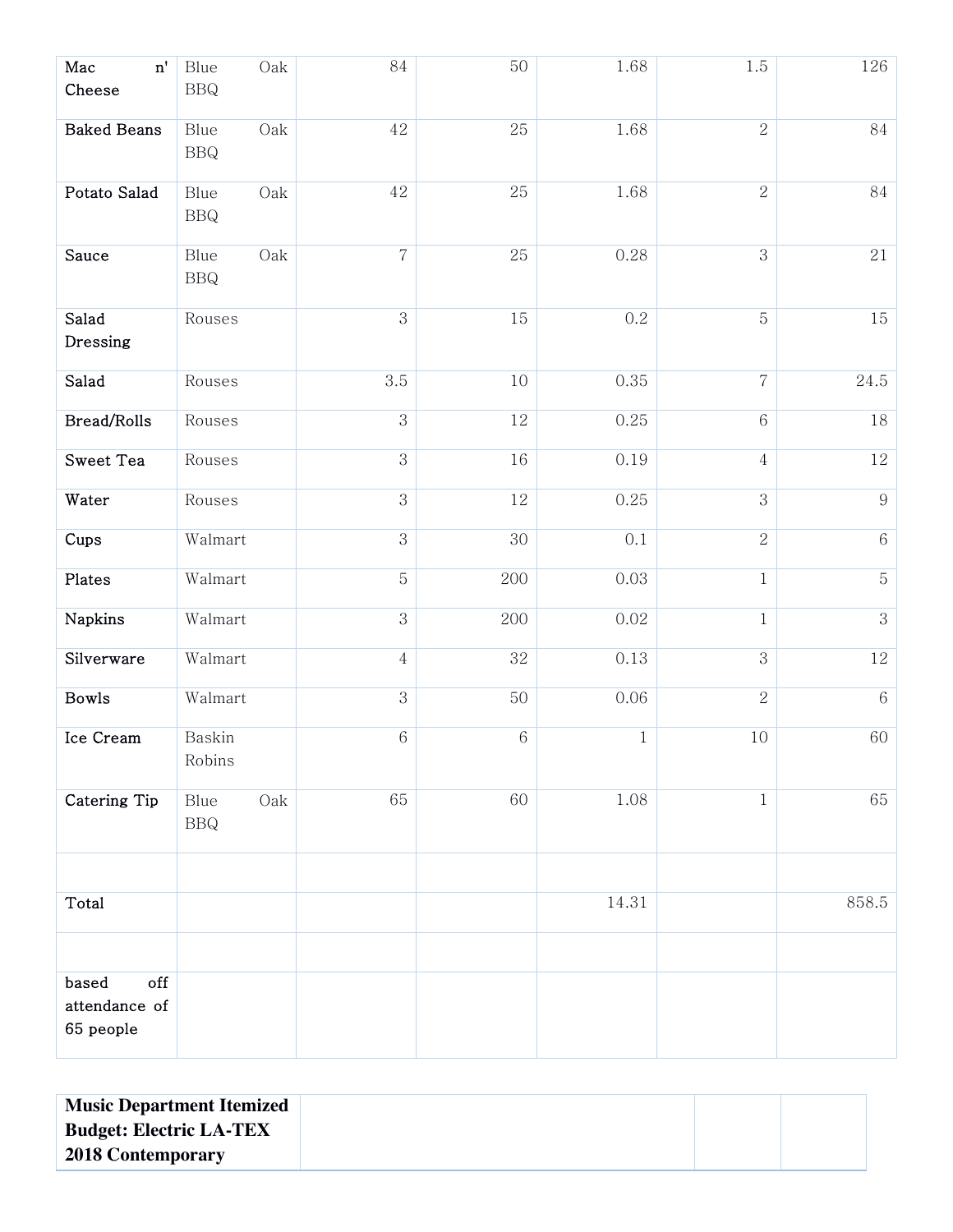| Mac<br>$\mathbf{n}^{\prime}$<br>Cheese     | Oak<br>Blue<br><b>BBQ</b>   | $\rm 84$       | 50      | 1.68     | 1.5            | 126              |
|--------------------------------------------|-----------------------------|----------------|---------|----------|----------------|------------------|
| <b>Baked Beans</b>                         | Oak<br>Blue<br>$_{\rm BBQ}$ | $42\,$         | 25      | 1.68     | $\overline{2}$ | 84               |
| Potato Salad                               | Oak<br>Blue<br><b>BBQ</b>   | $42\,$         | 25      | 1.68     | $\overline{2}$ | 84               |
| Sauce                                      | Oak<br>Blue<br>$_{\rm BBQ}$ | $\overline{7}$ | 25      | 0.28     | 3              | 21               |
| Salad<br>Dressing                          | Rouses                      | 3              | 15      | 0.2      | 5              | 15               |
| Salad                                      | Rouses                      | 3.5            | 10      | 0.35     | $\sqrt{ }$     | 24.5             |
| Bread/Rolls                                | Rouses                      | 3              | $12\,$  | 0.25     | $\,6$          | $18\,$           |
| Sweet Tea                                  | Rouses                      | $\,3$          | 16      | 0.19     | $\overline{4}$ | 12               |
| Water                                      | Rouses                      | 3              | 12      | 0.25     | 3              | $\boldsymbol{9}$ |
| Cups                                       | Walmart                     | $\,3$          | 30      | $0.1\,$  | $\sqrt{2}$     | $\,6\,$          |
| Plates                                     | Walmart                     | $\overline{5}$ | 200     | 0.03     | $\mathbf{1}$   | $\mathbf 5$      |
| Napkins                                    | Walmart                     | $\sqrt{3}$     | 200     | $0.02\,$ | $\mathbf{1}$   | $\mathbf{3}$     |
| Silverware                                 | Walmart                     | $\overline{4}$ | 32      | 0.13     | 3              | 12               |
| <b>Bowls</b>                               | Walmart                     | 3              | 50      | 0.06     | $\overline{2}$ | $\,6\,$          |
| Ice Cream                                  | Baskin<br>Robins            | $\,6\,$        | $\,6\,$ | $\,1$    | $10\,$         | 60               |
| Catering Tip                               | Oak<br>Blue<br><b>BBQ</b>   | 65             | 60      | 1.08     | $\mathbf{1}$   | 65               |
|                                            |                             |                |         |          |                |                  |
| Total                                      |                             |                |         | 14.31    |                | 858.5            |
|                                            |                             |                |         |          |                |                  |
| off<br>based<br>attendance of<br>65 people |                             |                |         |          |                |                  |

| <b>Music Department Itemized</b> |  |
|----------------------------------|--|
| <b>Budget: Electric LA-TEX</b>   |  |
| <b>2018 Contemporary</b>         |  |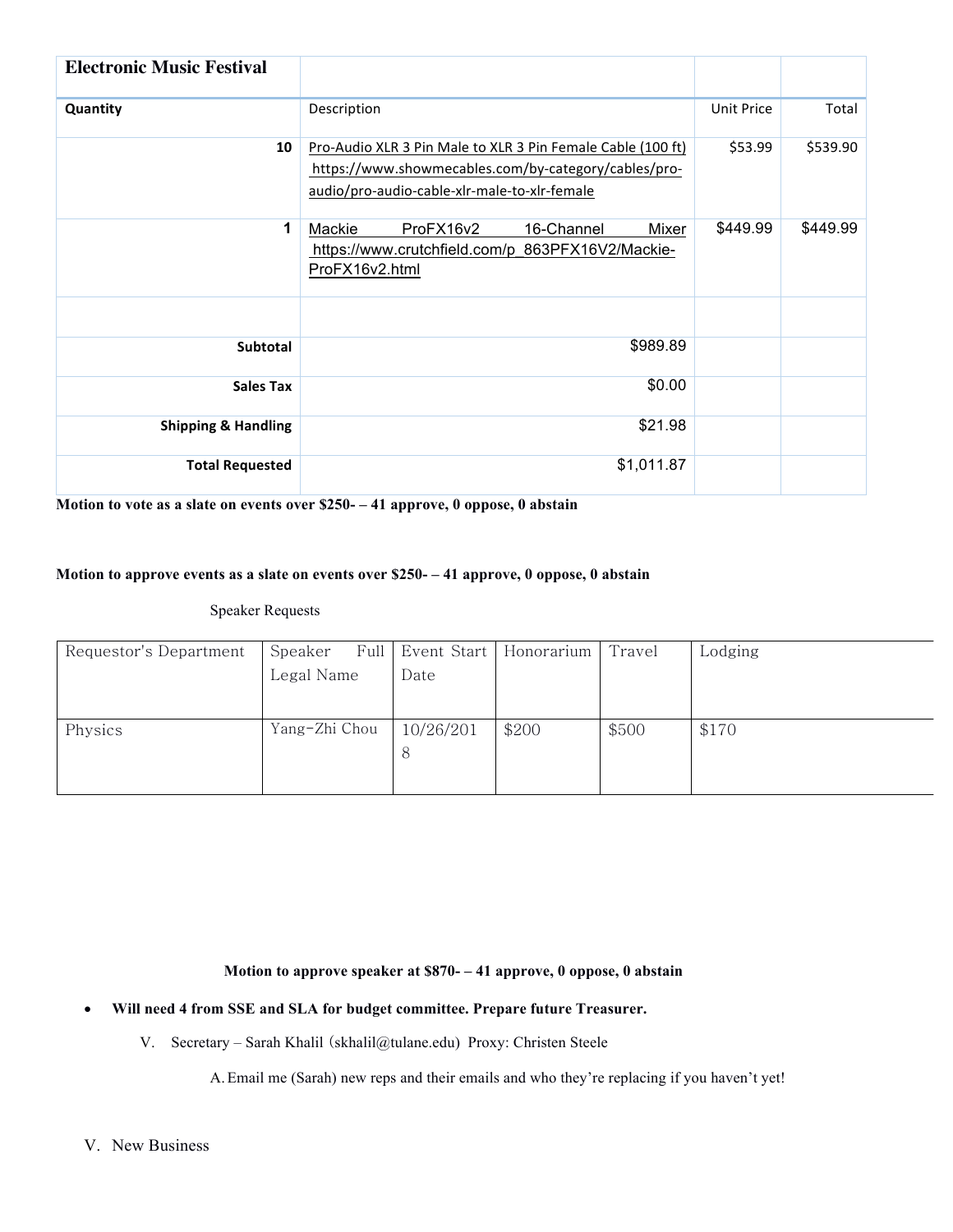| <b>Electronic Music Festival</b> |                                                                                                                                                                     |                   |          |  |  |  |
|----------------------------------|---------------------------------------------------------------------------------------------------------------------------------------------------------------------|-------------------|----------|--|--|--|
| Quantity                         | Description                                                                                                                                                         | <b>Unit Price</b> | Total    |  |  |  |
| 10                               | Pro-Audio XLR 3 Pin Male to XLR 3 Pin Female Cable (100 ft)<br>https://www.showmecables.com/by-category/cables/pro-<br>audio/pro-audio-cable-xlr-male-to-xlr-female |                   |          |  |  |  |
| 1                                | ProFX16v2<br>16-Channel<br>Mackie<br>Mixer<br>https://www.crutchfield.com/p 863PFX16V2/Mackie-<br>ProFX16v2.html                                                    | \$449.99          | \$449.99 |  |  |  |
|                                  |                                                                                                                                                                     |                   |          |  |  |  |
| <b>Subtotal</b>                  | \$989.89                                                                                                                                                            |                   |          |  |  |  |
| <b>Sales Tax</b>                 | \$0.00                                                                                                                                                              |                   |          |  |  |  |
| <b>Shipping &amp; Handling</b>   |                                                                                                                                                                     |                   |          |  |  |  |
| <b>Total Requested</b>           | \$1,011.87                                                                                                                                                          |                   |          |  |  |  |

**Motion to vote as a slate on events over \$250- – 41 approve, 0 oppose, 0 abstain**

# **Motion to approve events as a slate on events over \$250- – 41 approve, 0 oppose, 0 abstain**

# Speaker Requests

| Requestor's Department | Speaker       |           | Full Event Start   Honorarium | Travel | Lodging |
|------------------------|---------------|-----------|-------------------------------|--------|---------|
|                        | Legal Name    | Date      |                               |        |         |
|                        |               |           |                               |        |         |
|                        |               |           |                               |        |         |
| Physics                | Yang-Zhi Chou | 10/26/201 | \$200                         | \$500  | \$170   |
|                        |               | 8         |                               |        |         |
|                        |               |           |                               |        |         |
|                        |               |           |                               |        |         |

**Motion to approve speaker at \$870- – 41 approve, 0 oppose, 0 abstain**

### • **Will need 4 from SSE and SLA for budget committee. Prepare future Treasurer.**

V. Secretary – Sarah Khalil (skhalil@tulane.edu) Proxy: Christen Steele

A.Email me (Sarah) new reps and their emails and who they're replacing if you haven't yet!